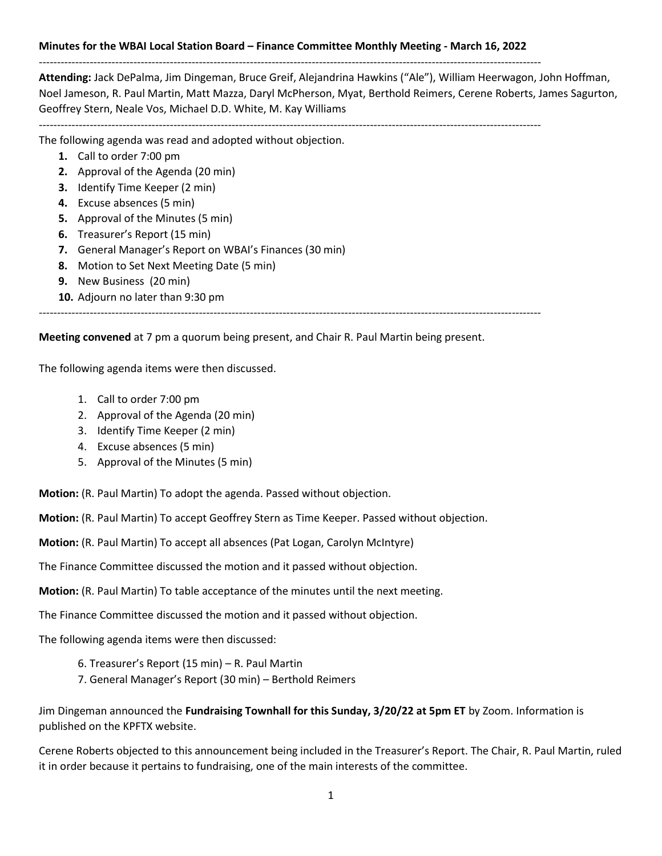## **Minutes for the WBAI Local Station Board – Finance Committee Monthly Meeting - March 16, 2022**

------------------------------------------------------------------------------------------------------------------------------------------

**Attending:** Jack DePalma, Jim Dingeman, Bruce Greif, Alejandrina Hawkins ("Ale"), William Heerwagon, John Hoffman, Noel Jameson, R. Paul Martin, Matt Mazza, Daryl McPherson, Myat, Berthold Reimers, Cerene Roberts, James Sagurton, Geoffrey Stern, Neale Vos, Michael D.D. White, M. Kay Williams

------------------------------------------------------------------------------------------------------------------------------------------

The following agenda was read and adopted without objection.

- **1.** Call to order 7:00 pm
- **2.** Approval of the Agenda (20 min)
- **3.** Identify Time Keeper (2 min)
- **4.** Excuse absences (5 min)
- **5.** Approval of the Minutes (5 min)
- **6.** Treasurer's Report (15 min)
- **7.** General Manager's Report on WBAI's Finances (30 min)
- **8.** Motion to Set Next Meeting Date (5 min)
- **9.** New Business (20 min)
- **10.** Adjourn no later than 9:30 pm

------------------------------------------------------------------------------------------------------------------------------------------

**Meeting convened** at 7 pm a quorum being present, and Chair R. Paul Martin being present.

The following agenda items were then discussed.

- 1. Call to order 7:00 pm
- 2. Approval of the Agenda (20 min)
- 3. Identify Time Keeper (2 min)
- 4. Excuse absences (5 min)
- 5. Approval of the Minutes (5 min)

**Motion:** (R. Paul Martin) To adopt the agenda. Passed without objection.

**Motion:** (R. Paul Martin) To accept Geoffrey Stern as Time Keeper. Passed without objection.

**Motion:** (R. Paul Martin) To accept all absences (Pat Logan, Carolyn McIntyre)

The Finance Committee discussed the motion and it passed without objection.

**Motion:** (R. Paul Martin) To table acceptance of the minutes until the next meeting.

The Finance Committee discussed the motion and it passed without objection.

The following agenda items were then discussed:

- 6. Treasurer's Report (15 min) R. Paul Martin
- 7. General Manager's Report (30 min) Berthold Reimers

Jim Dingeman announced the **Fundraising Townhall for this Sunday, 3/20/22 at 5pm ET** by Zoom. Information is published on the KPFTX website.

Cerene Roberts objected to this announcement being included in the Treasurer's Report. The Chair, R. Paul Martin, ruled it in order because it pertains to fundraising, one of the main interests of the committee.